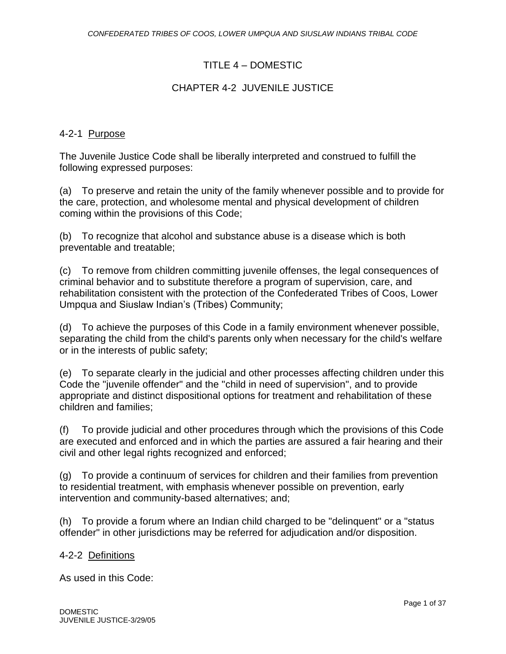# TITLE 4 – DOMESTIC

# CHAPTER 4-2 JUVENILE JUSTICE

## 4-2-1 Purpose

The Juvenile Justice Code shall be liberally interpreted and construed to fulfill the following expressed purposes:

(a) To preserve and retain the unity of the family whenever possible and to provide for the care, protection, and wholesome mental and physical development of children coming within the provisions of this Code;

(b) To recognize that alcohol and substance abuse is a disease which is both preventable and treatable;

(c) To remove from children committing juvenile offenses, the legal consequences of criminal behavior and to substitute therefore a program of supervision, care, and rehabilitation consistent with the protection of the Confederated Tribes of Coos, Lower Umpqua and Siuslaw Indian's (Tribes) Community;

(d) To achieve the purposes of this Code in a family environment whenever possible, separating the child from the child's parents only when necessary for the child's welfare or in the interests of public safety;

(e) To separate clearly in the judicial and other processes affecting children under this Code the "juvenile offender" and the "child in need of supervision", and to provide appropriate and distinct dispositional options for treatment and rehabilitation of these children and families;

(f) To provide judicial and other procedures through which the provisions of this Code are executed and enforced and in which the parties are assured a fair hearing and their civil and other legal rights recognized and enforced;

(g) To provide a continuum of services for children and their families from prevention to residential treatment, with emphasis whenever possible on prevention, early intervention and community-based alternatives; and;

(h) To provide a forum where an Indian child charged to be "delinquent" or a "status offender" in other jurisdictions may be referred for adjudication and/or disposition.

#### 4-2-2 Definitions

As used in this Code: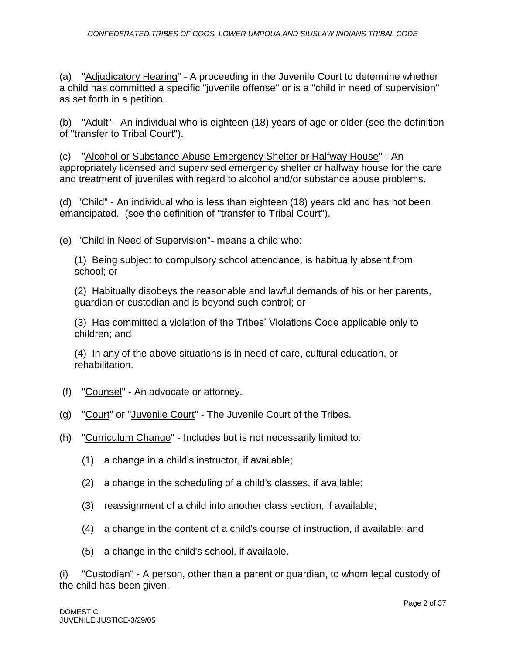(a) "Adjudicatory Hearing" - A proceeding in the Juvenile Court to determine whether a child has committed a specific "juvenile offense" or is a "child in need of supervision" as set forth in a petition.

(b) "Adult" - An individual who is eighteen (18) years of age or older (see the definition of "transfer to Tribal Court").

(c) "Alcohol or Substance Abuse Emergency Shelter or Halfway House" - An appropriately licensed and supervised emergency shelter or halfway house for the care and treatment of juveniles with regard to alcohol and/or substance abuse problems.

(d) "Child" - An individual who is less than eighteen (18) years old and has not been emancipated. (see the definition of "transfer to Tribal Court").

(e) "Child in Need of Supervision"- means a child who:

(1) Being subject to compulsory school attendance, is habitually absent from school; or

(2) Habitually disobeys the reasonable and lawful demands of his or her parents, guardian or custodian and is beyond such control; or

(3) Has committed a violation of the Tribes' Violations Code applicable only to children; and

(4) In any of the above situations is in need of care, cultural education, or rehabilitation.

- (f) "Counsel" An advocate or attorney.
- (g) "Court" or "Juvenile Court" The Juvenile Court of the Tribes.
- (h) "Curriculum Change" Includes but is not necessarily limited to:
	- (1) a change in a child's instructor, if available;
	- (2) a change in the scheduling of a child's classes, if available;
	- (3) reassignment of a child into another class section, if available;
	- (4) a change in the content of a child's course of instruction, if available; and
	- (5) a change in the child's school, if available.

(i) "Custodian" - A person, other than a parent or guardian, to whom legal custody of the child has been given.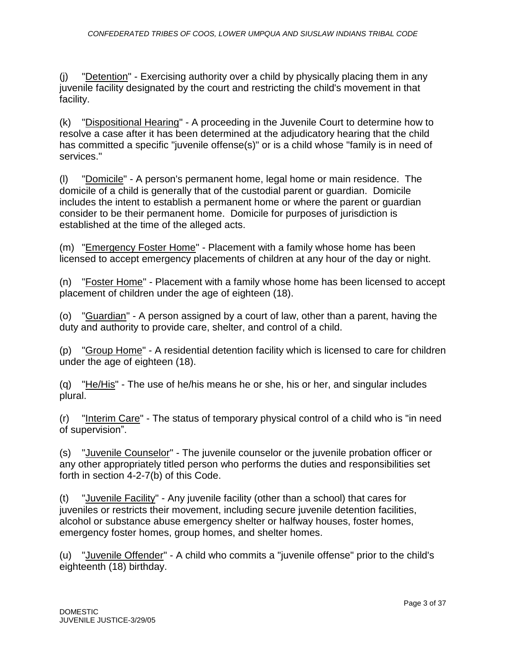(j) "Detention" - Exercising authority over a child by physically placing them in any juvenile facility designated by the court and restricting the child's movement in that facility.

(k) "Dispositional Hearing" - A proceeding in the Juvenile Court to determine how to resolve a case after it has been determined at the adjudicatory hearing that the child has committed a specific "juvenile offense(s)" or is a child whose "family is in need of services."

(l) "Domicile" - A person's permanent home, legal home or main residence. The domicile of a child is generally that of the custodial parent or guardian. Domicile includes the intent to establish a permanent home or where the parent or guardian consider to be their permanent home. Domicile for purposes of jurisdiction is established at the time of the alleged acts.

(m) "Emergency Foster Home" - Placement with a family whose home has been licensed to accept emergency placements of children at any hour of the day or night.

(n) "Foster Home" - Placement with a family whose home has been licensed to accept placement of children under the age of eighteen (18).

(o) "Guardian" - A person assigned by a court of law, other than a parent, having the duty and authority to provide care, shelter, and control of a child.

(p) "Group Home" - A residential detention facility which is licensed to care for children under the age of eighteen (18).

(q) "He/His" - The use of he/his means he or she, his or her, and singular includes plural.

(r) "Interim Care" - The status of temporary physical control of a child who is "in need of supervision".

(s) "Juvenile Counselor" - The juvenile counselor or the juvenile probation officer or any other appropriately titled person who performs the duties and responsibilities set forth in section 4-2-7(b) of this Code.

(t) "Juvenile Facility" - Any juvenile facility (other than a school) that cares for juveniles or restricts their movement, including secure juvenile detention facilities, alcohol or substance abuse emergency shelter or halfway houses, foster homes, emergency foster homes, group homes, and shelter homes.

(u) "Juvenile Offender" - A child who commits a "juvenile offense" prior to the child's eighteenth (18) birthday.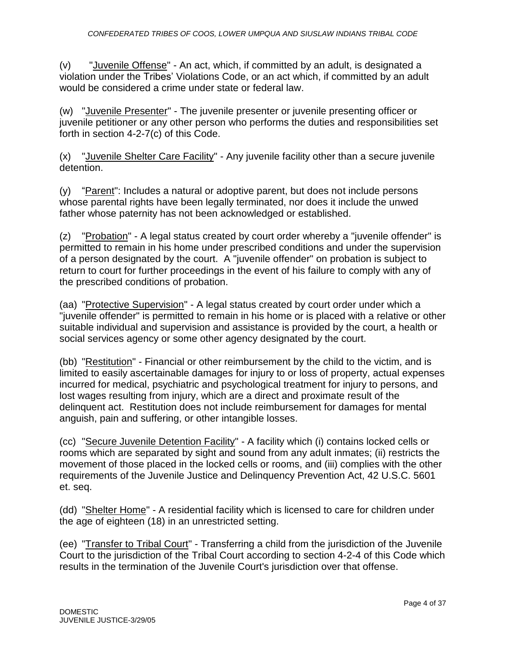(v) "Juvenile Offense" - An act, which, if committed by an adult, is designated a violation under the Tribes' Violations Code, or an act which, if committed by an adult would be considered a crime under state or federal law.

(w) "Juvenile Presenter" - The juvenile presenter or juvenile presenting officer or juvenile petitioner or any other person who performs the duties and responsibilities set forth in section 4-2-7(c) of this Code.

(x) "Juvenile Shelter Care Facility" - Any juvenile facility other than a secure juvenile detention.

(y) "Parent": Includes a natural or adoptive parent, but does not include persons whose parental rights have been legally terminated, nor does it include the unwed father whose paternity has not been acknowledged or established.

(z) "Probation" - A legal status created by court order whereby a "juvenile offender" is permitted to remain in his home under prescribed conditions and under the supervision of a person designated by the court. A "juvenile offender" on probation is subject to return to court for further proceedings in the event of his failure to comply with any of the prescribed conditions of probation.

(aa) "Protective Supervision" - A legal status created by court order under which a "juvenile offender" is permitted to remain in his home or is placed with a relative or other suitable individual and supervision and assistance is provided by the court, a health or social services agency or some other agency designated by the court.

(bb) "Restitution" - Financial or other reimbursement by the child to the victim, and is limited to easily ascertainable damages for injury to or loss of property, actual expenses incurred for medical, psychiatric and psychological treatment for injury to persons, and lost wages resulting from injury, which are a direct and proximate result of the delinquent act. Restitution does not include reimbursement for damages for mental anguish, pain and suffering, or other intangible losses.

(cc) "Secure Juvenile Detention Facility" - A facility which (i) contains locked cells or rooms which are separated by sight and sound from any adult inmates; (ii) restricts the movement of those placed in the locked cells or rooms, and (iii) complies with the other requirements of the Juvenile Justice and Delinquency Prevention Act, 42 U.S.C. 5601 et. seq.

(dd) "Shelter Home" - A residential facility which is licensed to care for children under the age of eighteen (18) in an unrestricted setting.

(ee) "Transfer to Tribal Court" - Transferring a child from the jurisdiction of the Juvenile Court to the jurisdiction of the Tribal Court according to section 4-2-4 of this Code which results in the termination of the Juvenile Court's jurisdiction over that offense.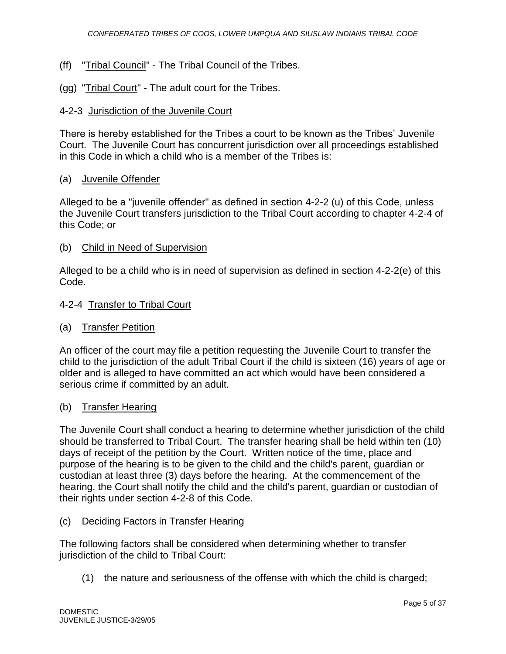- (ff) "Tribal Council" The Tribal Council of the Tribes.
- (gg) "Tribal Court" The adult court for the Tribes.

## 4-2-3 Jurisdiction of the Juvenile Court

There is hereby established for the Tribes a court to be known as the Tribes' Juvenile Court. The Juvenile Court has concurrent jurisdiction over all proceedings established in this Code in which a child who is a member of the Tribes is:

#### (a) Juvenile Offender

Alleged to be a "juvenile offender" as defined in section 4-2-2 (u) of this Code, unless the Juvenile Court transfers jurisdiction to the Tribal Court according to chapter 4-2-4 of this Code; or

(b) Child in Need of Supervision

Alleged to be a child who is in need of supervision as defined in section 4-2-2(e) of this Code.

#### 4-2-4 Transfer to Tribal Court

#### (a) Transfer Petition

An officer of the court may file a petition requesting the Juvenile Court to transfer the child to the jurisdiction of the adult Tribal Court if the child is sixteen (16) years of age or older and is alleged to have committed an act which would have been considered a serious crime if committed by an adult.

#### (b) Transfer Hearing

The Juvenile Court shall conduct a hearing to determine whether jurisdiction of the child should be transferred to Tribal Court. The transfer hearing shall be held within ten (10) days of receipt of the petition by the Court. Written notice of the time, place and purpose of the hearing is to be given to the child and the child's parent, guardian or custodian at least three (3) days before the hearing. At the commencement of the hearing, the Court shall notify the child and the child's parent, guardian or custodian of their rights under section 4-2-8 of this Code.

#### (c) Deciding Factors in Transfer Hearing

The following factors shall be considered when determining whether to transfer jurisdiction of the child to Tribal Court:

(1) the nature and seriousness of the offense with which the child is charged;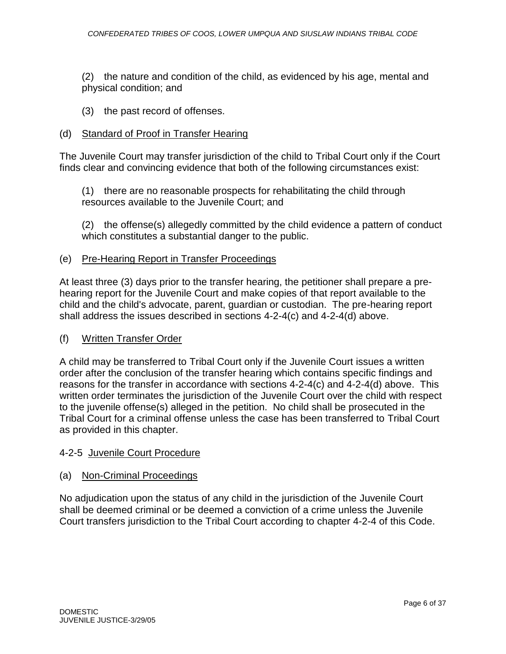(2) the nature and condition of the child, as evidenced by his age, mental and physical condition; and

(3) the past record of offenses.

### (d) Standard of Proof in Transfer Hearing

The Juvenile Court may transfer jurisdiction of the child to Tribal Court only if the Court finds clear and convincing evidence that both of the following circumstances exist:

(1) there are no reasonable prospects for rehabilitating the child through resources available to the Juvenile Court; and

(2) the offense(s) allegedly committed by the child evidence a pattern of conduct which constitutes a substantial danger to the public.

#### (e) Pre-Hearing Report in Transfer Proceedings

At least three (3) days prior to the transfer hearing, the petitioner shall prepare a prehearing report for the Juvenile Court and make copies of that report available to the child and the child's advocate, parent, guardian or custodian. The pre-hearing report shall address the issues described in sections 4-2-4(c) and 4-2-4(d) above.

#### (f) Written Transfer Order

A child may be transferred to Tribal Court only if the Juvenile Court issues a written order after the conclusion of the transfer hearing which contains specific findings and reasons for the transfer in accordance with sections 4-2-4(c) and 4-2-4(d) above. This written order terminates the jurisdiction of the Juvenile Court over the child with respect to the juvenile offense(s) alleged in the petition. No child shall be prosecuted in the Tribal Court for a criminal offense unless the case has been transferred to Tribal Court as provided in this chapter.

#### 4-2-5 Juvenile Court Procedure

#### (a) Non-Criminal Proceedings

No adjudication upon the status of any child in the jurisdiction of the Juvenile Court shall be deemed criminal or be deemed a conviction of a crime unless the Juvenile Court transfers jurisdiction to the Tribal Court according to chapter 4-2-4 of this Code.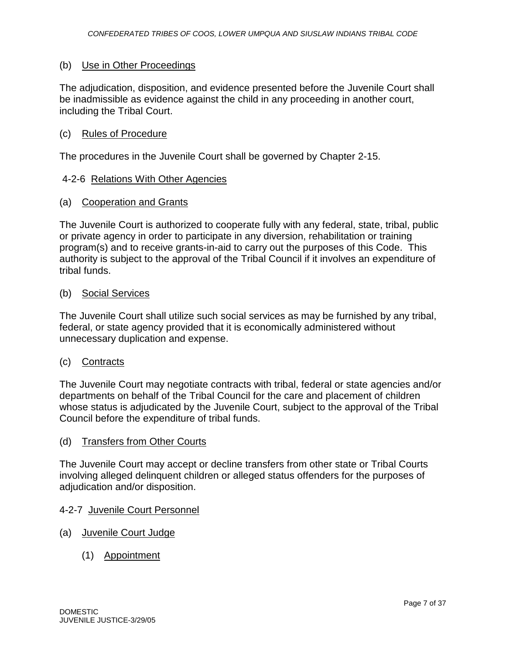#### (b) Use in Other Proceedings

The adjudication, disposition, and evidence presented before the Juvenile Court shall be inadmissible as evidence against the child in any proceeding in another court, including the Tribal Court.

#### (c) Rules of Procedure

The procedures in the Juvenile Court shall be governed by Chapter 2-15.

#### 4-2-6 Relations With Other Agencies

#### (a) Cooperation and Grants

The Juvenile Court is authorized to cooperate fully with any federal, state, tribal, public or private agency in order to participate in any diversion, rehabilitation or training program(s) and to receive grants-in-aid to carry out the purposes of this Code. This authority is subject to the approval of the Tribal Council if it involves an expenditure of tribal funds.

#### (b) Social Services

The Juvenile Court shall utilize such social services as may be furnished by any tribal, federal, or state agency provided that it is economically administered without unnecessary duplication and expense.

#### (c) Contracts

The Juvenile Court may negotiate contracts with tribal, federal or state agencies and/or departments on behalf of the Tribal Council for the care and placement of children whose status is adjudicated by the Juvenile Court, subject to the approval of the Tribal Council before the expenditure of tribal funds.

#### (d) Transfers from Other Courts

The Juvenile Court may accept or decline transfers from other state or Tribal Courts involving alleged delinquent children or alleged status offenders for the purposes of adjudication and/or disposition.

#### 4-2-7 Juvenile Court Personnel

- (a) Juvenile Court Judge
	- (1) Appointment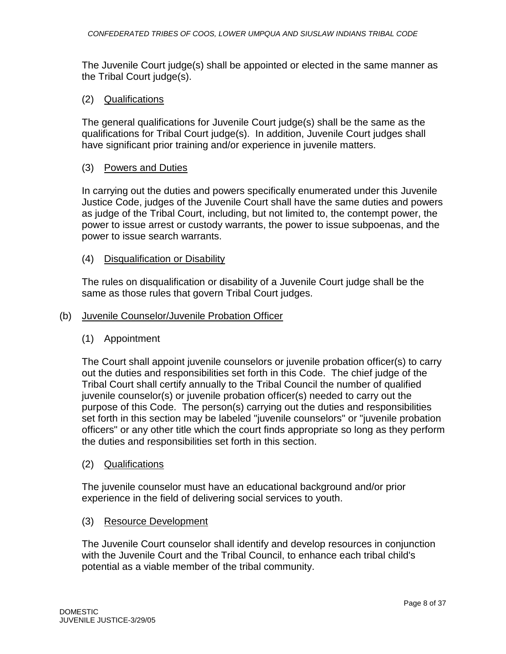The Juvenile Court judge(s) shall be appointed or elected in the same manner as the Tribal Court judge(s).

## (2) Qualifications

The general qualifications for Juvenile Court judge(s) shall be the same as the qualifications for Tribal Court judge(s). In addition, Juvenile Court judges shall have significant prior training and/or experience in juvenile matters.

#### (3) Powers and Duties

In carrying out the duties and powers specifically enumerated under this Juvenile Justice Code, judges of the Juvenile Court shall have the same duties and powers as judge of the Tribal Court, including, but not limited to, the contempt power, the power to issue arrest or custody warrants, the power to issue subpoenas, and the power to issue search warrants.

## (4) Disqualification or Disability

The rules on disqualification or disability of a Juvenile Court judge shall be the same as those rules that govern Tribal Court judges.

#### (b) Juvenile Counselor/Juvenile Probation Officer

# (1) Appointment

The Court shall appoint juvenile counselors or juvenile probation officer(s) to carry out the duties and responsibilities set forth in this Code. The chief judge of the Tribal Court shall certify annually to the Tribal Council the number of qualified juvenile counselor(s) or juvenile probation officer(s) needed to carry out the purpose of this Code. The person(s) carrying out the duties and responsibilities set forth in this section may be labeled "juvenile counselors" or "juvenile probation officers" or any other title which the court finds appropriate so long as they perform the duties and responsibilities set forth in this section.

#### (2) Qualifications

The juvenile counselor must have an educational background and/or prior experience in the field of delivering social services to youth.

#### (3) Resource Development

The Juvenile Court counselor shall identify and develop resources in conjunction with the Juvenile Court and the Tribal Council, to enhance each tribal child's potential as a viable member of the tribal community.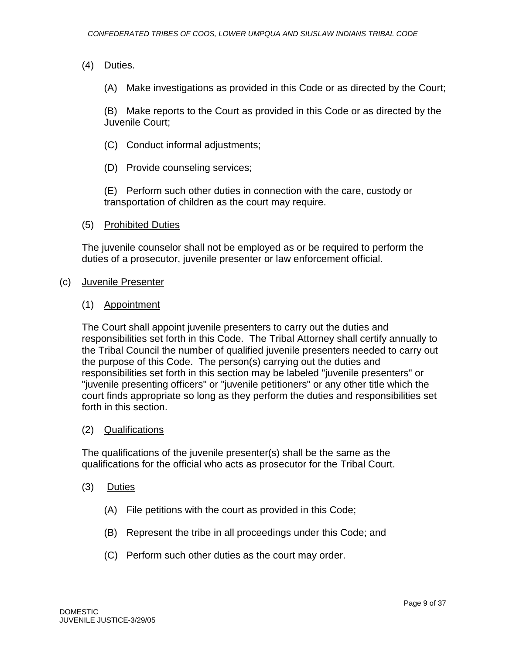- (4) Duties.
	- (A) Make investigations as provided in this Code or as directed by the Court;

(B) Make reports to the Court as provided in this Code or as directed by the Juvenile Court;

- (C) Conduct informal adjustments;
- (D) Provide counseling services;

(E) Perform such other duties in connection with the care, custody or transportation of children as the court may require.

(5) Prohibited Duties

The juvenile counselor shall not be employed as or be required to perform the duties of a prosecutor, juvenile presenter or law enforcement official.

#### (c) Juvenile Presenter

#### (1) Appointment

The Court shall appoint juvenile presenters to carry out the duties and responsibilities set forth in this Code. The Tribal Attorney shall certify annually to the Tribal Council the number of qualified juvenile presenters needed to carry out the purpose of this Code. The person(s) carrying out the duties and responsibilities set forth in this section may be labeled "juvenile presenters" or "juvenile presenting officers" or "juvenile petitioners" or any other title which the court finds appropriate so long as they perform the duties and responsibilities set forth in this section.

#### (2) Qualifications

The qualifications of the juvenile presenter(s) shall be the same as the qualifications for the official who acts as prosecutor for the Tribal Court.

- (3) Duties
	- (A) File petitions with the court as provided in this Code;
	- (B) Represent the tribe in all proceedings under this Code; and
	- (C) Perform such other duties as the court may order.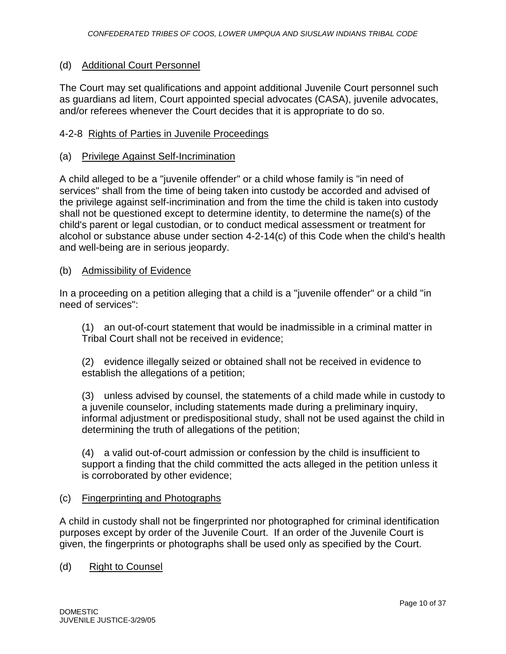#### (d) Additional Court Personnel

The Court may set qualifications and appoint additional Juvenile Court personnel such as guardians ad litem, Court appointed special advocates (CASA), juvenile advocates, and/or referees whenever the Court decides that it is appropriate to do so.

### 4-2-8 Rights of Parties in Juvenile Proceedings

#### (a) Privilege Against Self-Incrimination

A child alleged to be a "juvenile offender" or a child whose family is "in need of services" shall from the time of being taken into custody be accorded and advised of the privilege against self-incrimination and from the time the child is taken into custody shall not be questioned except to determine identity, to determine the name(s) of the child's parent or legal custodian, or to conduct medical assessment or treatment for alcohol or substance abuse under section 4-2-14(c) of this Code when the child's health and well-being are in serious jeopardy.

#### (b) Admissibility of Evidence

In a proceeding on a petition alleging that a child is a "juvenile offender" or a child "in need of services":

(1) an out-of-court statement that would be inadmissible in a criminal matter in Tribal Court shall not be received in evidence;

(2) evidence illegally seized or obtained shall not be received in evidence to establish the allegations of a petition;

(3) unless advised by counsel, the statements of a child made while in custody to a juvenile counselor, including statements made during a preliminary inquiry, informal adjustment or predispositional study, shall not be used against the child in determining the truth of allegations of the petition;

(4) a valid out-of-court admission or confession by the child is insufficient to support a finding that the child committed the acts alleged in the petition unless it is corroborated by other evidence;

#### (c) Fingerprinting and Photographs

A child in custody shall not be fingerprinted nor photographed for criminal identification purposes except by order of the Juvenile Court. If an order of the Juvenile Court is given, the fingerprints or photographs shall be used only as specified by the Court.

(d) Right to Counsel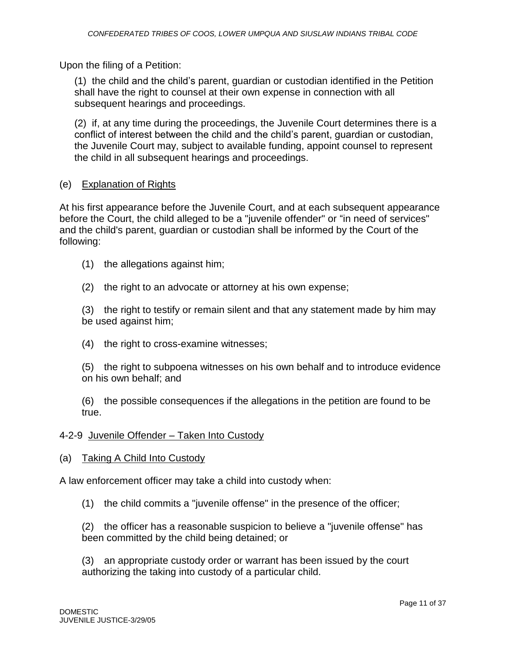Upon the filing of a Petition:

(1) the child and the child's parent, guardian or custodian identified in the Petition shall have the right to counsel at their own expense in connection with all subsequent hearings and proceedings.

(2) if, at any time during the proceedings, the Juvenile Court determines there is a conflict of interest between the child and the child's parent, guardian or custodian, the Juvenile Court may, subject to available funding, appoint counsel to represent the child in all subsequent hearings and proceedings.

## (e) Explanation of Rights

At his first appearance before the Juvenile Court, and at each subsequent appearance before the Court, the child alleged to be a "juvenile offender" or "in need of services" and the child's parent, guardian or custodian shall be informed by the Court of the following:

- (1) the allegations against him;
- (2) the right to an advocate or attorney at his own expense;

(3) the right to testify or remain silent and that any statement made by him may be used against him;

(4) the right to cross-examine witnesses;

(5) the right to subpoena witnesses on his own behalf and to introduce evidence on his own behalf; and

(6) the possible consequences if the allegations in the petition are found to be true.

#### 4-2-9 Juvenile Offender – Taken Into Custody

#### (a) Taking A Child Into Custody

A law enforcement officer may take a child into custody when:

(1) the child commits a "juvenile offense" in the presence of the officer;

(2) the officer has a reasonable suspicion to believe a "juvenile offense" has been committed by the child being detained; or

(3) an appropriate custody order or warrant has been issued by the court authorizing the taking into custody of a particular child.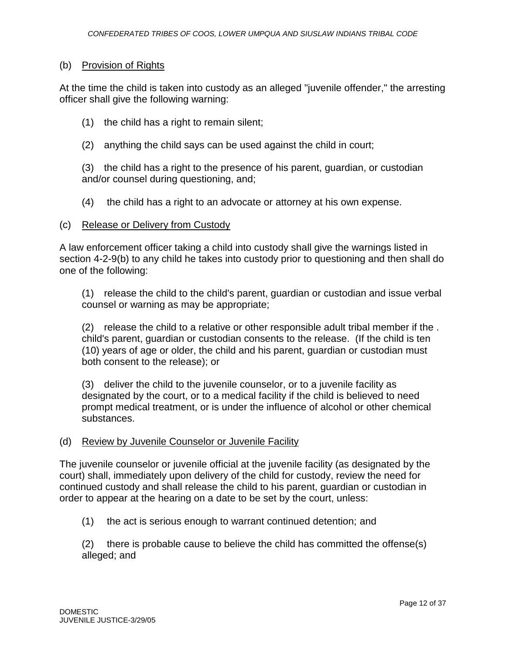#### (b) Provision of Rights

At the time the child is taken into custody as an alleged "juvenile offender," the arresting officer shall give the following warning:

- (1) the child has a right to remain silent;
- (2) anything the child says can be used against the child in court;

(3) the child has a right to the presence of his parent, guardian, or custodian and/or counsel during questioning, and;

(4) the child has a right to an advocate or attorney at his own expense.

#### (c) Release or Delivery from Custody

A law enforcement officer taking a child into custody shall give the warnings listed in section 4-2-9(b) to any child he takes into custody prior to questioning and then shall do one of the following:

(1) release the child to the child's parent, guardian or custodian and issue verbal counsel or warning as may be appropriate;

(2) release the child to a relative or other responsible adult tribal member if the . child's parent, guardian or custodian consents to the release. (If the child is ten (10) years of age or older, the child and his parent, guardian or custodian must both consent to the release); or

(3) deliver the child to the juvenile counselor, or to a juvenile facility as designated by the court, or to a medical facility if the child is believed to need prompt medical treatment, or is under the influence of alcohol or other chemical substances.

#### (d) Review by Juvenile Counselor or Juvenile Facility

The juvenile counselor or juvenile official at the juvenile facility (as designated by the court) shall, immediately upon delivery of the child for custody, review the need for continued custody and shall release the child to his parent, guardian or custodian in order to appear at the hearing on a date to be set by the court, unless:

(1) the act is serious enough to warrant continued detention; and

(2) there is probable cause to believe the child has committed the offense(s) alleged; and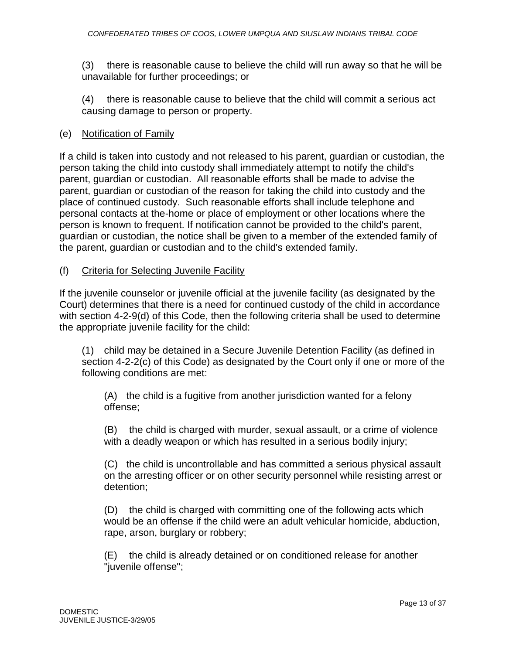(3) there is reasonable cause to believe the child will run away so that he will be unavailable for further proceedings; or

(4) there is reasonable cause to believe that the child will commit a serious act causing damage to person or property.

### (e) Notification of Family

If a child is taken into custody and not released to his parent, guardian or custodian, the person taking the child into custody shall immediately attempt to notify the child's parent, guardian or custodian. All reasonable efforts shall be made to advise the parent, guardian or custodian of the reason for taking the child into custody and the place of continued custody. Such reasonable efforts shall include telephone and personal contacts at the-home or place of employment or other locations where the person is known to frequent. If notification cannot be provided to the child's parent, guardian or custodian, the notice shall be given to a member of the extended family of the parent, guardian or custodian and to the child's extended family.

#### (f) Criteria for Selecting Juvenile Facility

If the juvenile counselor or juvenile official at the juvenile facility (as designated by the Court) determines that there is a need for continued custody of the child in accordance with section 4-2-9(d) of this Code, then the following criteria shall be used to determine the appropriate juvenile facility for the child:

(1) child may be detained in a Secure Juvenile Detention Facility (as defined in section 4-2-2(c) of this Code) as designated by the Court only if one or more of the following conditions are met:

(A) the child is a fugitive from another jurisdiction wanted for a felony offense;

(B) the child is charged with murder, sexual assault, or a crime of violence with a deadly weapon or which has resulted in a serious bodily injury;

(C) the child is uncontrollable and has committed a serious physical assault on the arresting officer or on other security personnel while resisting arrest or detention;

(D) the child is charged with committing one of the following acts which would be an offense if the child were an adult vehicular homicide, abduction, rape, arson, burglary or robbery;

(E) the child is already detained or on conditioned release for another "juvenile offense";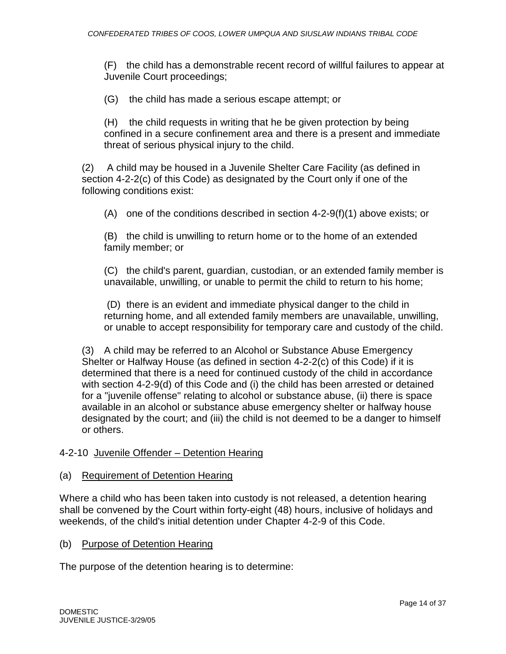(F) the child has a demonstrable recent record of willful failures to appear at Juvenile Court proceedings;

(G) the child has made a serious escape attempt; or

(H) the child requests in writing that he be given protection by being confined in a secure confinement area and there is a present and immediate threat of serious physical injury to the child.

(2) A child may be housed in a Juvenile Shelter Care Facility (as defined in section 4-2-2(c) of this Code) as designated by the Court only if one of the following conditions exist:

(A) one of the conditions described in section  $4-2-9(f)(1)$  above exists; or

(B) the child is unwilling to return home or to the home of an extended family member; or

(C) the child's parent, guardian, custodian, or an extended family member is unavailable, unwilling, or unable to permit the child to return to his home;

(D) there is an evident and immediate physical danger to the child in returning home, and all extended family members are unavailable, unwilling, or unable to accept responsibility for temporary care and custody of the child.

(3) A child may be referred to an Alcohol or Substance Abuse Emergency Shelter or Halfway House (as defined in section 4-2-2(c) of this Code) if it is determined that there is a need for continued custody of the child in accordance with section 4-2-9(d) of this Code and (i) the child has been arrested or detained for a "juvenile offense" relating to alcohol or substance abuse, (ii) there is space available in an alcohol or substance abuse emergency shelter or halfway house designated by the court; and (iii) the child is not deemed to be a danger to himself or others.

#### 4-2-10 Juvenile Offender – Detention Hearing

#### (a) Requirement of Detention Hearing

Where a child who has been taken into custody is not released, a detention hearing shall be convened by the Court within forty-eight (48) hours, inclusive of holidays and weekends, of the child's initial detention under Chapter 4-2-9 of this Code.

#### (b) Purpose of Detention Hearing

The purpose of the detention hearing is to determine: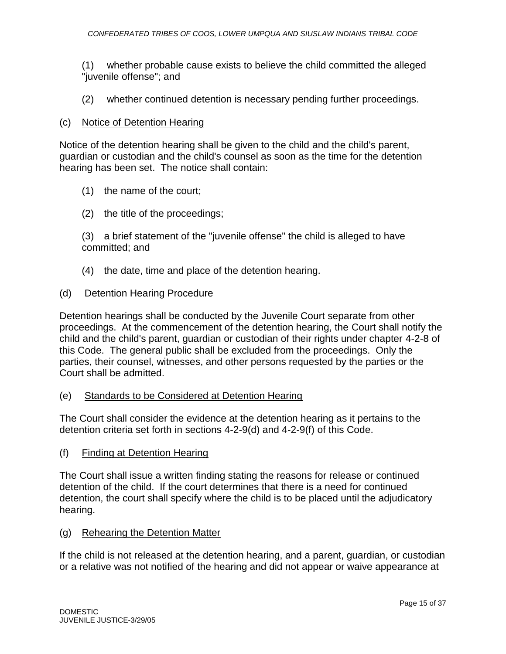(1) whether probable cause exists to believe the child committed the alleged "juvenile offense"; and

(2) whether continued detention is necessary pending further proceedings.

### (c) Notice of Detention Hearing

Notice of the detention hearing shall be given to the child and the child's parent, guardian or custodian and the child's counsel as soon as the time for the detention hearing has been set. The notice shall contain:

- (1) the name of the court;
- (2) the title of the proceedings;

(3) a brief statement of the "juvenile offense" the child is alleged to have committed; and

(4) the date, time and place of the detention hearing.

#### (d) Detention Hearing Procedure

Detention hearings shall be conducted by the Juvenile Court separate from other proceedings. At the commencement of the detention hearing, the Court shall notify the child and the child's parent, guardian or custodian of their rights under chapter 4-2-8 of this Code. The general public shall be excluded from the proceedings. Only the parties, their counsel, witnesses, and other persons requested by the parties or the Court shall be admitted.

(e) Standards to be Considered at Detention Hearing

The Court shall consider the evidence at the detention hearing as it pertains to the detention criteria set forth in sections 4-2-9(d) and 4-2-9(f) of this Code.

(f) Finding at Detention Hearing

The Court shall issue a written finding stating the reasons for release or continued detention of the child. If the court determines that there is a need for continued detention, the court shall specify where the child is to be placed until the adjudicatory hearing.

#### (g) Rehearing the Detention Matter

If the child is not released at the detention hearing, and a parent, guardian, or custodian or a relative was not notified of the hearing and did not appear or waive appearance at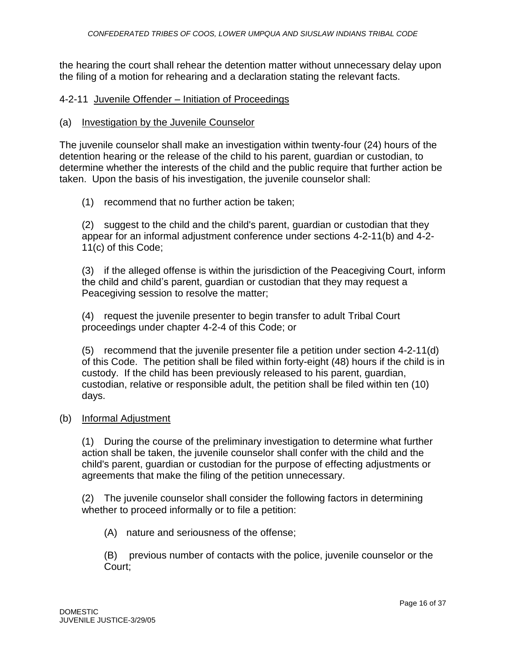the hearing the court shall rehear the detention matter without unnecessary delay upon the filing of a motion for rehearing and a declaration stating the relevant facts.

## 4-2-11 Juvenile Offender – Initiation of Proceedings

#### (a) Investigation by the Juvenile Counselor

The juvenile counselor shall make an investigation within twenty-four (24) hours of the detention hearing or the release of the child to his parent, guardian or custodian, to determine whether the interests of the child and the public require that further action be taken. Upon the basis of his investigation, the juvenile counselor shall:

## (1) recommend that no further action be taken;

(2) suggest to the child and the child's parent, guardian or custodian that they appear for an informal adjustment conference under sections 4-2-11(b) and 4-2- 11(c) of this Code;

(3) if the alleged offense is within the jurisdiction of the Peacegiving Court, inform the child and child's parent, guardian or custodian that they may request a Peacegiving session to resolve the matter;

(4) request the juvenile presenter to begin transfer to adult Tribal Court proceedings under chapter 4-2-4 of this Code; or

(5) recommend that the juvenile presenter file a petition under section 4-2-11(d) of this Code. The petition shall be filed within forty-eight (48) hours if the child is in custody. If the child has been previously released to his parent, guardian, custodian, relative or responsible adult, the petition shall be filed within ten (10) days.

#### (b) Informal Adjustment

(1) During the course of the preliminary investigation to determine what further action shall be taken, the juvenile counselor shall confer with the child and the child's parent, guardian or custodian for the purpose of effecting adjustments or agreements that make the filing of the petition unnecessary.

(2) The juvenile counselor shall consider the following factors in determining whether to proceed informally or to file a petition:

(A) nature and seriousness of the offense;

(B) previous number of contacts with the police, juvenile counselor or the Court;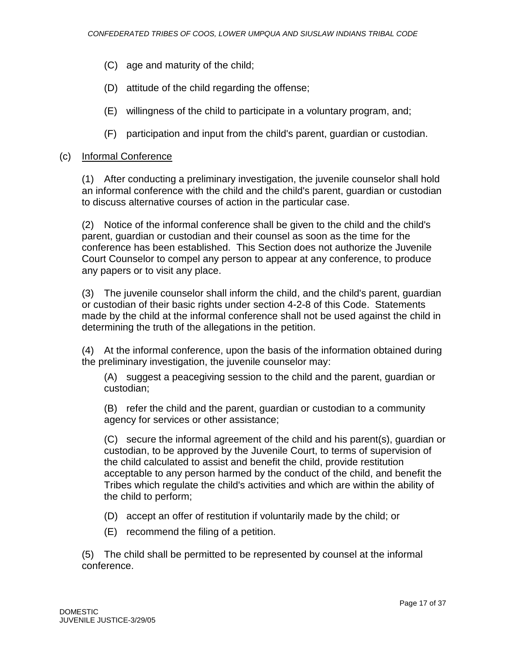- (C) age and maturity of the child;
- (D) attitude of the child regarding the offense;
- (E) willingness of the child to participate in a voluntary program, and;
- (F) participation and input from the child's parent, guardian or custodian.

## (c) Informal Conference

(1) After conducting a preliminary investigation, the juvenile counselor shall hold an informal conference with the child and the child's parent, guardian or custodian to discuss alternative courses of action in the particular case.

(2) Notice of the informal conference shall be given to the child and the child's parent, guardian or custodian and their counsel as soon as the time for the conference has been established. This Section does not authorize the Juvenile Court Counselor to compel any person to appear at any conference, to produce any papers or to visit any place.

(3) The juvenile counselor shall inform the child, and the child's parent, guardian or custodian of their basic rights under section 4-2-8 of this Code. Statements made by the child at the informal conference shall not be used against the child in determining the truth of the allegations in the petition.

(4) At the informal conference, upon the basis of the information obtained during the preliminary investigation, the juvenile counselor may:

(A) suggest a peacegiving session to the child and the parent, guardian or custodian;

(B) refer the child and the parent, guardian or custodian to a community agency for services or other assistance;

(C) secure the informal agreement of the child and his parent(s), guardian or custodian, to be approved by the Juvenile Court, to terms of supervision of the child calculated to assist and benefit the child, provide restitution acceptable to any person harmed by the conduct of the child, and benefit the Tribes which regulate the child's activities and which are within the ability of the child to perform;

- (D) accept an offer of restitution if voluntarily made by the child; or
- (E) recommend the filing of a petition.

(5) The child shall be permitted to be represented by counsel at the informal conference.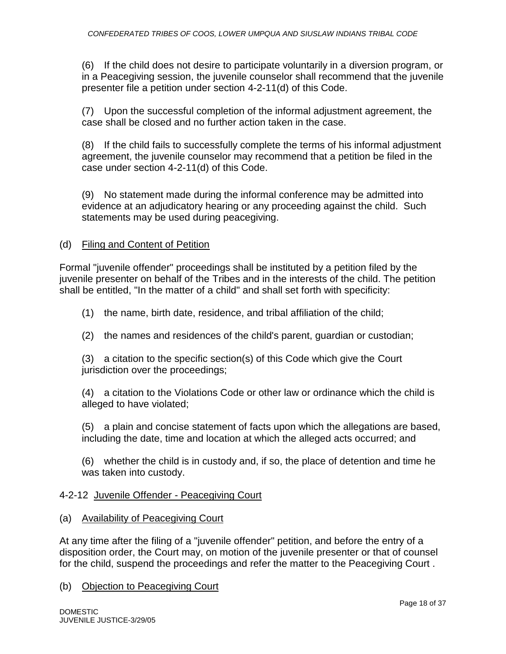(6) If the child does not desire to participate voluntarily in a diversion program, or in a Peacegiving session, the juvenile counselor shall recommend that the juvenile presenter file a petition under section 4-2-11(d) of this Code.

(7) Upon the successful completion of the informal adjustment agreement, the case shall be closed and no further action taken in the case.

(8) If the child fails to successfully complete the terms of his informal adjustment agreement, the juvenile counselor may recommend that a petition be filed in the case under section 4-2-11(d) of this Code.

(9) No statement made during the informal conference may be admitted into evidence at an adjudicatory hearing or any proceeding against the child. Such statements may be used during peacegiving.

## (d) Filing and Content of Petition

Formal "juvenile offender" proceedings shall be instituted by a petition filed by the juvenile presenter on behalf of the Tribes and in the interests of the child. The petition shall be entitled, "In the matter of a child" and shall set forth with specificity:

(1) the name, birth date, residence, and tribal affiliation of the child;

(2) the names and residences of the child's parent, guardian or custodian;

(3) a citation to the specific section(s) of this Code which give the Court jurisdiction over the proceedings;

(4) a citation to the Violations Code or other law or ordinance which the child is alleged to have violated;

(5) a plain and concise statement of facts upon which the allegations are based, including the date, time and location at which the alleged acts occurred; and

(6) whether the child is in custody and, if so, the place of detention and time he was taken into custody.

# 4-2-12 Juvenile Offender - Peacegiving Court

#### (a) Availability of Peacegiving Court

At any time after the filing of a "juvenile offender" petition, and before the entry of a disposition order, the Court may, on motion of the juvenile presenter or that of counsel for the child, suspend the proceedings and refer the matter to the Peacegiving Court .

#### (b) Objection to Peacegiving Court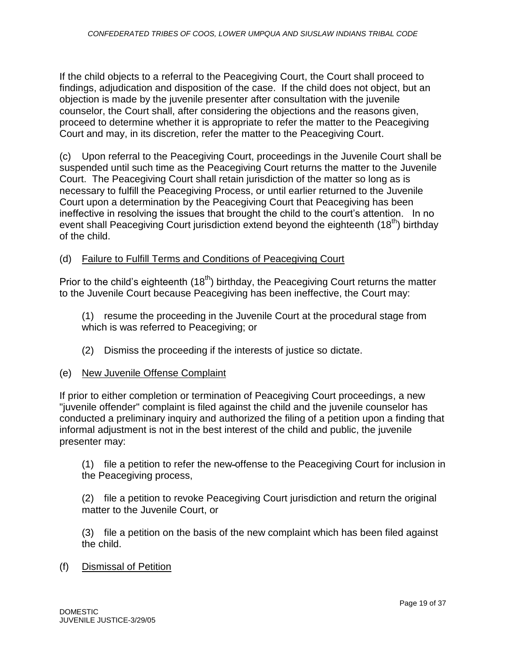If the child objects to a referral to the Peacegiving Court, the Court shall proceed to findings, adjudication and disposition of the case. If the child does not object, but an objection is made by the juvenile presenter after consultation with the juvenile counselor, the Court shall, after considering the objections and the reasons given, proceed to determine whether it is appropriate to refer the matter to the Peacegiving Court and may, in its discretion, refer the matter to the Peacegiving Court.

(c) Upon referral to the Peacegiving Court, proceedings in the Juvenile Court shall be suspended until such time as the Peacegiving Court returns the matter to the Juvenile Court. The Peacegiving Court shall retain jurisdiction of the matter so long as is necessary to fulfill the Peacegiving Process, or until earlier returned to the Juvenile Court upon a determination by the Peacegiving Court that Peacegiving has been ineffective in resolving the issues that brought the child to the court's attention. In no event shall Peacegiving Court jurisdiction extend beyond the eighteenth (18<sup>th</sup>) birthday of the child.

## (d) Failure to Fulfill Terms and Conditions of Peacegiving Court

Prior to the child's eighteenth  $(18<sup>th</sup>)$  birthday, the Peacegiving Court returns the matter to the Juvenile Court because Peacegiving has been ineffective, the Court may:

(1) resume the proceeding in the Juvenile Court at the procedural stage from which is was referred to Peacegiving; or

(2) Dismiss the proceeding if the interests of justice so dictate.

#### (e) New Juvenile Offense Complaint

If prior to either completion or termination of Peacegiving Court proceedings, a new "juvenile offender" complaint is filed against the child and the juvenile counselor has conducted a preliminary inquiry and authorized the filing of a petition upon a finding that informal adjustment is not in the best interest of the child and public, the juvenile presenter may:

(1) file a petition to refer the new offense to the Peacegiving Court for inclusion in the Peacegiving process,

(2) file a petition to revoke Peacegiving Court jurisdiction and return the original matter to the Juvenile Court, or

(3) file a petition on the basis of the new complaint which has been filed against the child.

(f) Dismissal of Petition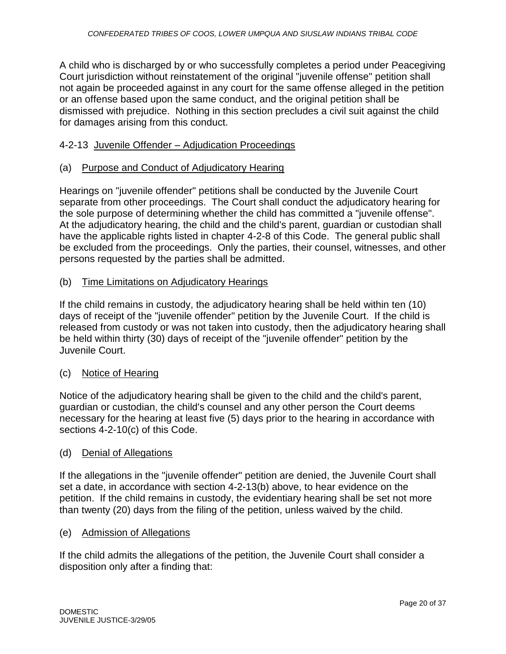A child who is discharged by or who successfully completes a period under Peacegiving Court jurisdiction without reinstatement of the original "juvenile offense" petition shall not again be proceeded against in any court for the same offense alleged in the petition or an offense based upon the same conduct, and the original petition shall be dismissed with prejudice. Nothing in this section precludes a civil suit against the child for damages arising from this conduct.

#### 4-2-13 Juvenile Offender – Adjudication Proceedings

#### (a) Purpose and Conduct of Adjudicatory Hearing

Hearings on "juvenile offender" petitions shall be conducted by the Juvenile Court separate from other proceedings. The Court shall conduct the adjudicatory hearing for the sole purpose of determining whether the child has committed a "juvenile offense". At the adjudicatory hearing, the child and the child's parent, guardian or custodian shall have the applicable rights listed in chapter 4-2-8 of this Code. The general public shall be excluded from the proceedings. Only the parties, their counsel, witnesses, and other persons requested by the parties shall be admitted.

## (b) Time Limitations on Adjudicatory Hearings

If the child remains in custody, the adjudicatory hearing shall be held within ten (10) days of receipt of the "juvenile offender" petition by the Juvenile Court. If the child is released from custody or was not taken into custody, then the adjudicatory hearing shall be held within thirty (30) days of receipt of the "juvenile offender" petition by the Juvenile Court.

#### (c) Notice of Hearing

Notice of the adjudicatory hearing shall be given to the child and the child's parent, guardian or custodian, the child's counsel and any other person the Court deems necessary for the hearing at least five (5) days prior to the hearing in accordance with sections 4-2-10(c) of this Code.

#### (d) Denial of Allegations

If the allegations in the "juvenile offender" petition are denied, the Juvenile Court shall set a date, in accordance with section 4-2-13(b) above, to hear evidence on the petition. If the child remains in custody, the evidentiary hearing shall be set not more than twenty (20) days from the filing of the petition, unless waived by the child.

#### (e) Admission of Allegations

If the child admits the allegations of the petition, the Juvenile Court shall consider a disposition only after a finding that: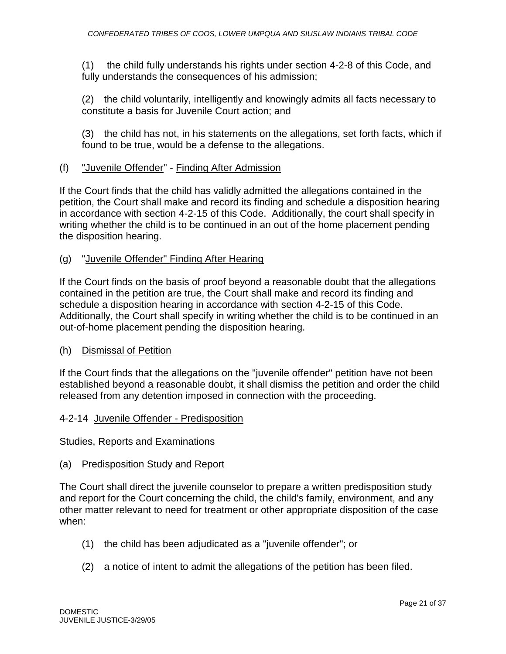(1) the child fully understands his rights under section 4-2-8 of this Code, and fully understands the consequences of his admission;

(2) the child voluntarily, intelligently and knowingly admits all facts necessary to constitute a basis for Juvenile Court action; and

(3) the child has not, in his statements on the allegations, set forth facts, which if found to be true, would be a defense to the allegations.

## (f) "Juvenile Offender" - Finding After Admission

If the Court finds that the child has validly admitted the allegations contained in the petition, the Court shall make and record its finding and schedule a disposition hearing in accordance with section 4-2-15 of this Code. Additionally, the court shall specify in writing whether the child is to be continued in an out of the home placement pending the disposition hearing.

(g) "Juvenile Offender" Finding After Hearing

If the Court finds on the basis of proof beyond a reasonable doubt that the allegations contained in the petition are true, the Court shall make and record its finding and schedule a disposition hearing in accordance with section 4-2-15 of this Code. Additionally, the Court shall specify in writing whether the child is to be continued in an out-of-home placement pending the disposition hearing.

#### (h) Dismissal of Petition

If the Court finds that the allegations on the "juvenile offender" petition have not been established beyond a reasonable doubt, it shall dismiss the petition and order the child released from any detention imposed in connection with the proceeding.

#### 4-2-14 Juvenile Offender - Predisposition

Studies, Reports and Examinations

(a) Predisposition Study and Report

The Court shall direct the juvenile counselor to prepare a written predisposition study and report for the Court concerning the child, the child's family, environment, and any other matter relevant to need for treatment or other appropriate disposition of the case when:

- (1) the child has been adjudicated as a "juvenile offender"; or
- (2) a notice of intent to admit the allegations of the petition has been filed.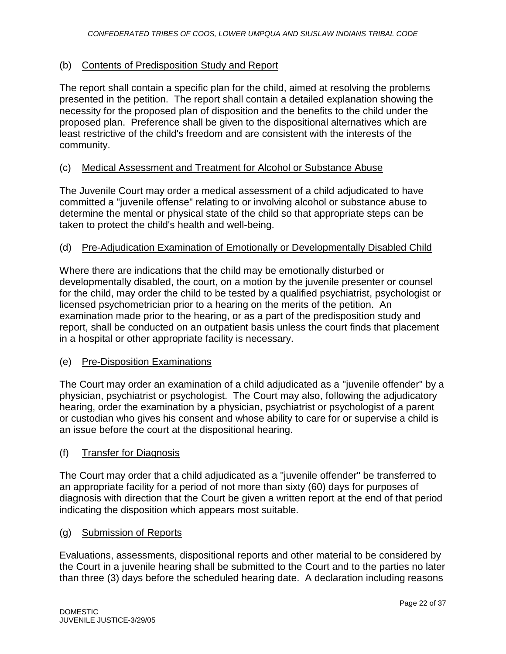# (b) Contents of Predisposition Study and Report

The report shall contain a specific plan for the child, aimed at resolving the problems presented in the petition. The report shall contain a detailed explanation showing the necessity for the proposed plan of disposition and the benefits to the child under the proposed plan. Preference shall be given to the dispositional alternatives which are least restrictive of the child's freedom and are consistent with the interests of the community.

# (c) Medical Assessment and Treatment for Alcohol or Substance Abuse

The Juvenile Court may order a medical assessment of a child adjudicated to have committed a "juvenile offense" relating to or involving alcohol or substance abuse to determine the mental or physical state of the child so that appropriate steps can be taken to protect the child's health and well-being.

# (d) Pre-Adjudication Examination of Emotionally or Developmentally Disabled Child

Where there are indications that the child may be emotionally disturbed or developmentally disabled, the court, on a motion by the juvenile presenter or counsel for the child, may order the child to be tested by a qualified psychiatrist, psychologist or licensed psychometrician prior to a hearing on the merits of the petition. An examination made prior to the hearing, or as a part of the predisposition study and report, shall be conducted on an outpatient basis unless the court finds that placement in a hospital or other appropriate facility is necessary.

# (e) Pre-Disposition Examinations

The Court may order an examination of a child adjudicated as a "juvenile offender" by a physician, psychiatrist or psychologist. The Court may also, following the adjudicatory hearing, order the examination by a physician, psychiatrist or psychologist of a parent or custodian who gives his consent and whose ability to care for or supervise a child is an issue before the court at the dispositional hearing.

# (f) Transfer for Diagnosis

The Court may order that a child adjudicated as a "juvenile offender" be transferred to an appropriate facility for a period of not more than sixty (60) days for purposes of diagnosis with direction that the Court be given a written report at the end of that period indicating the disposition which appears most suitable.

#### (g) Submission of Reports

Evaluations, assessments, dispositional reports and other material to be considered by the Court in a juvenile hearing shall be submitted to the Court and to the parties no later than three (3) days before the scheduled hearing date. A declaration including reasons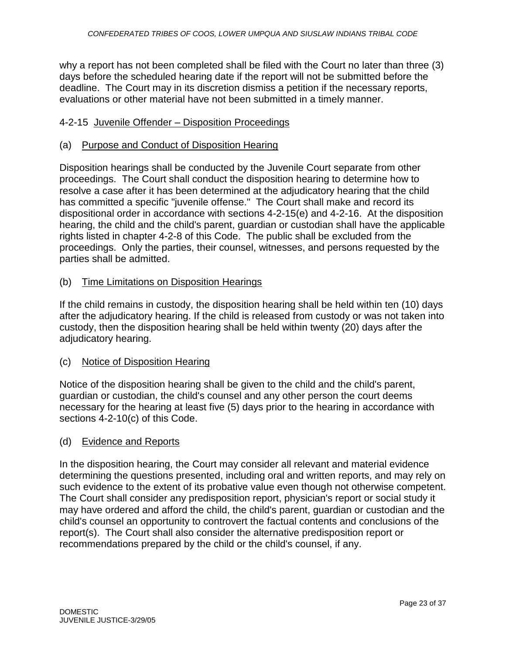why a report has not been completed shall be filed with the Court no later than three (3) days before the scheduled hearing date if the report will not be submitted before the deadline. The Court may in its discretion dismiss a petition if the necessary reports, evaluations or other material have not been submitted in a timely manner.

### 4-2-15 Juvenile Offender – Disposition Proceedings

#### (a) Purpose and Conduct of Disposition Hearing

Disposition hearings shall be conducted by the Juvenile Court separate from other proceedings. The Court shall conduct the disposition hearing to determine how to resolve a case after it has been determined at the adjudicatory hearing that the child has committed a specific "juvenile offense." The Court shall make and record its dispositional order in accordance with sections 4-2-15(e) and 4-2-16. At the disposition hearing, the child and the child's parent, guardian or custodian shall have the applicable rights listed in chapter 4-2-8 of this Code. The public shall be excluded from the proceedings. Only the parties, their counsel, witnesses, and persons requested by the parties shall be admitted.

#### (b) Time Limitations on Disposition Hearings

If the child remains in custody, the disposition hearing shall be held within ten (10) days after the adjudicatory hearing. If the child is released from custody or was not taken into custody, then the disposition hearing shall be held within twenty (20) days after the adjudicatory hearing.

#### (c) Notice of Disposition Hearing

Notice of the disposition hearing shall be given to the child and the child's parent, guardian or custodian, the child's counsel and any other person the court deems necessary for the hearing at least five (5) days prior to the hearing in accordance with sections 4-2-10(c) of this Code.

#### (d) Evidence and Reports

In the disposition hearing, the Court may consider all relevant and material evidence determining the questions presented, including oral and written reports, and may rely on such evidence to the extent of its probative value even though not otherwise competent. The Court shall consider any predisposition report, physician's report or social study it may have ordered and afford the child, the child's parent, guardian or custodian and the child's counsel an opportunity to controvert the factual contents and conclusions of the report(s). The Court shall also consider the alternative predisposition report or recommendations prepared by the child or the child's counsel, if any.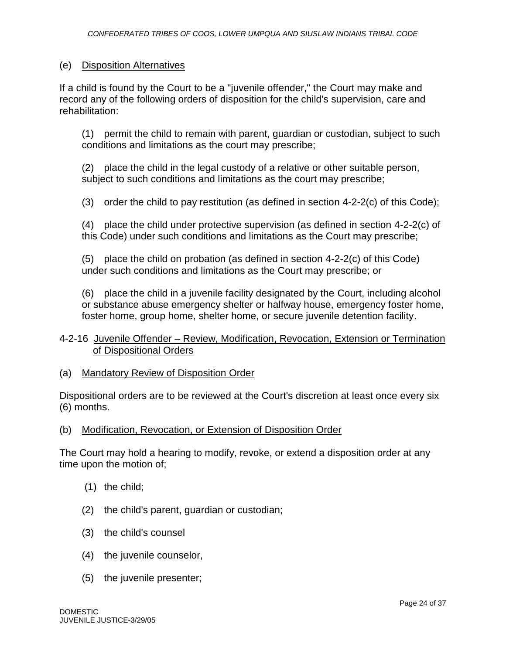### (e) Disposition Alternatives

If a child is found by the Court to be a "juvenile offender," the Court may make and record any of the following orders of disposition for the child's supervision, care and rehabilitation:

(1) permit the child to remain with parent, guardian or custodian, subject to such conditions and limitations as the court may prescribe;

(2) place the child in the legal custody of a relative or other suitable person, subject to such conditions and limitations as the court may prescribe;

(3) order the child to pay restitution (as defined in section  $4-2-2(c)$  of this Code);

(4) place the child under protective supervision (as defined in section 4-2-2(c) of this Code) under such conditions and limitations as the Court may prescribe;

(5) place the child on probation (as defined in section 4-2-2(c) of this Code) under such conditions and limitations as the Court may prescribe; or

(6) place the child in a juvenile facility designated by the Court, including alcohol or substance abuse emergency shelter or halfway house, emergency foster home, foster home, group home, shelter home, or secure juvenile detention facility.

## 4-2-16 Juvenile Offender – Review, Modification, Revocation, Extension or Termination of Dispositional Orders

#### (a) Mandatory Review of Disposition Order

Dispositional orders are to be reviewed at the Court's discretion at least once every six (6) months.

(b) Modification, Revocation, or Extension of Disposition Order

The Court may hold a hearing to modify, revoke, or extend a disposition order at any time upon the motion of;

- (1) the child;
- (2) the child's parent, guardian or custodian;
- (3) the child's counsel
- (4) the juvenile counselor,
- (5) the juvenile presenter;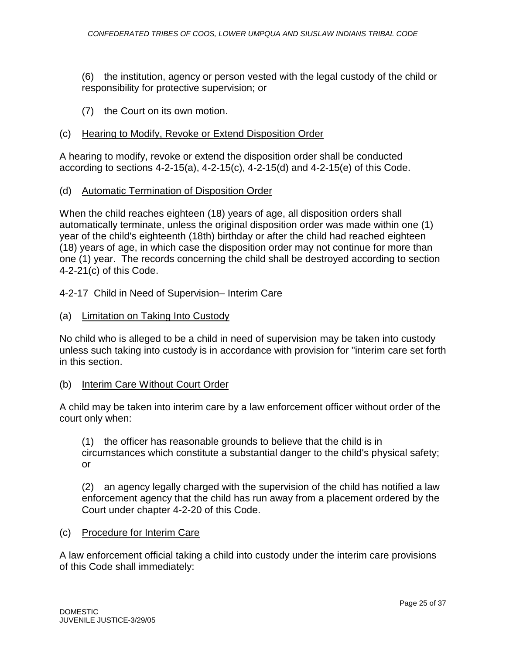(6) the institution, agency or person vested with the legal custody of the child or responsibility for protective supervision; or

(7) the Court on its own motion.

# (c) Hearing to Modify, Revoke or Extend Disposition Order

A hearing to modify, revoke or extend the disposition order shall be conducted according to sections 4-2-15(a), 4-2-15(c), 4-2-15(d) and 4-2-15(e) of this Code.

(d) Automatic Termination of Disposition Order

When the child reaches eighteen (18) years of age, all disposition orders shall automatically terminate, unless the original disposition order was made within one (1) year of the child's eighteenth (18th) birthday or after the child had reached eighteen (18) years of age, in which case the disposition order may not continue for more than one (1) year. The records concerning the child shall be destroyed according to section 4-2-21(c) of this Code.

# 4-2-17 Child in Need of Supervision– Interim Care

(a) Limitation on Taking Into Custody

No child who is alleged to be a child in need of supervision may be taken into custody unless such taking into custody is in accordance with provision for "interim care set forth in this section.

# (b) Interim Care Without Court Order

A child may be taken into interim care by a law enforcement officer without order of the court only when:

(1) the officer has reasonable grounds to believe that the child is in circumstances which constitute a substantial danger to the child's physical safety; or

(2) an agency legally charged with the supervision of the child has notified a law enforcement agency that the child has run away from a placement ordered by the Court under chapter 4-2-20 of this Code.

#### (c) Procedure for Interim Care

A law enforcement official taking a child into custody under the interim care provisions of this Code shall immediately: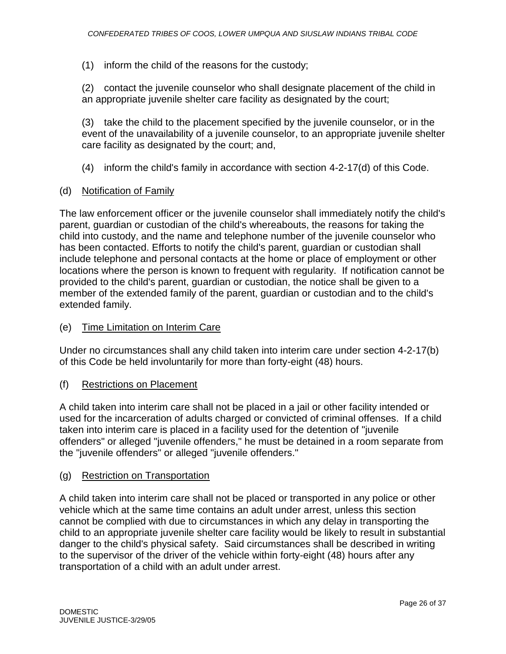(1) inform the child of the reasons for the custody;

(2) contact the juvenile counselor who shall designate placement of the child in an appropriate juvenile shelter care facility as designated by the court;

(3) take the child to the placement specified by the juvenile counselor, or in the event of the unavailability of a juvenile counselor, to an appropriate juvenile shelter care facility as designated by the court; and,

- (4) inform the child's family in accordance with section 4-2-17(d) of this Code.
- (d) Notification of Family

The law enforcement officer or the juvenile counselor shall immediately notify the child's parent, guardian or custodian of the child's whereabouts, the reasons for taking the child into custody, and the name and telephone number of the juvenile counselor who has been contacted. Efforts to notify the child's parent, guardian or custodian shall include telephone and personal contacts at the home or place of employment or other locations where the person is known to frequent with regularity. If notification cannot be provided to the child's parent, guardian or custodian, the notice shall be given to a member of the extended family of the parent, guardian or custodian and to the child's extended family.

#### (e) Time Limitation on Interim Care

Under no circumstances shall any child taken into interim care under section 4-2-17(b) of this Code be held involuntarily for more than forty-eight (48) hours.

(f) Restrictions on Placement

A child taken into interim care shall not be placed in a jail or other facility intended or used for the incarceration of adults charged or convicted of criminal offenses. If a child taken into interim care is placed in a facility used for the detention of "juvenile offenders" or alleged "juvenile offenders," he must be detained in a room separate from the "juvenile offenders" or alleged "juvenile offenders."

#### (g) Restriction on Transportation

A child taken into interim care shall not be placed or transported in any police or other vehicle which at the same time contains an adult under arrest, unless this section cannot be complied with due to circumstances in which any delay in transporting the child to an appropriate juvenile shelter care facility would be likely to result in substantial danger to the child's physical safety. Said circumstances shall be described in writing to the supervisor of the driver of the vehicle within forty-eight (48) hours after any transportation of a child with an adult under arrest.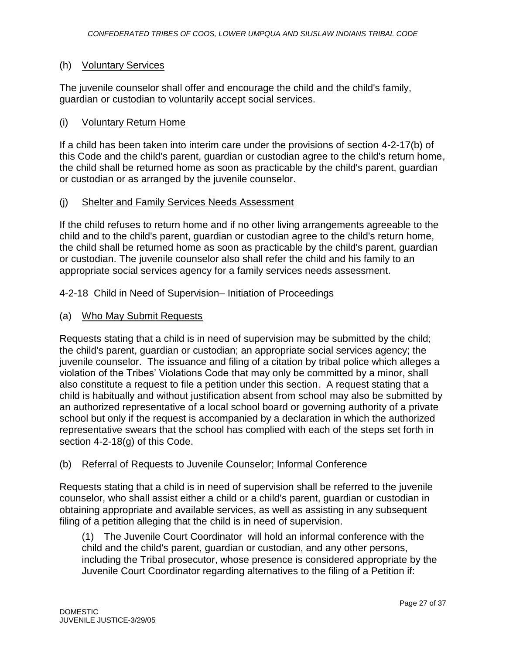## (h) Voluntary Services

The juvenile counselor shall offer and encourage the child and the child's family, guardian or custodian to voluntarily accept social services.

### (i) Voluntary Return Home

If a child has been taken into interim care under the provisions of section 4-2-17(b) of this Code and the child's parent, guardian or custodian agree to the child's return home, the child shall be returned home as soon as practicable by the child's parent, guardian or custodian or as arranged by the juvenile counselor.

## (j) Shelter and Family Services Needs Assessment

If the child refuses to return home and if no other living arrangements agreeable to the child and to the child's parent, guardian or custodian agree to the child's return home, the child shall be returned home as soon as practicable by the child's parent, guardian or custodian. The juvenile counselor also shall refer the child and his family to an appropriate social services agency for a family services needs assessment.

#### 4-2-18 Child in Need of Supervision– Initiation of Proceedings

## (a) Who May Submit Requests

Requests stating that a child is in need of supervision may be submitted by the child; the child's parent, guardian or custodian; an appropriate social services agency; the juvenile counselor. The issuance and filing of a citation by tribal police which alleges a violation of the Tribes' Violations Code that may only be committed by a minor, shall also constitute a request to file a petition under this section. A request stating that a child is habitually and without justification absent from school may also be submitted by an authorized representative of a local school board or governing authority of a private school but only if the request is accompanied by a declaration in which the authorized representative swears that the school has complied with each of the steps set forth in section 4-2-18(g) of this Code.

#### (b) Referral of Requests to Juvenile Counselor; Informal Conference

Requests stating that a child is in need of supervision shall be referred to the juvenile counselor, who shall assist either a child or a child's parent, guardian or custodian in obtaining appropriate and available services, as well as assisting in any subsequent filing of a petition alleging that the child is in need of supervision.

(1) The Juvenile Court Coordinator will hold an informal conference with the child and the child's parent, guardian or custodian, and any other persons, including the Tribal prosecutor, whose presence is considered appropriate by the Juvenile Court Coordinator regarding alternatives to the filing of a Petition if: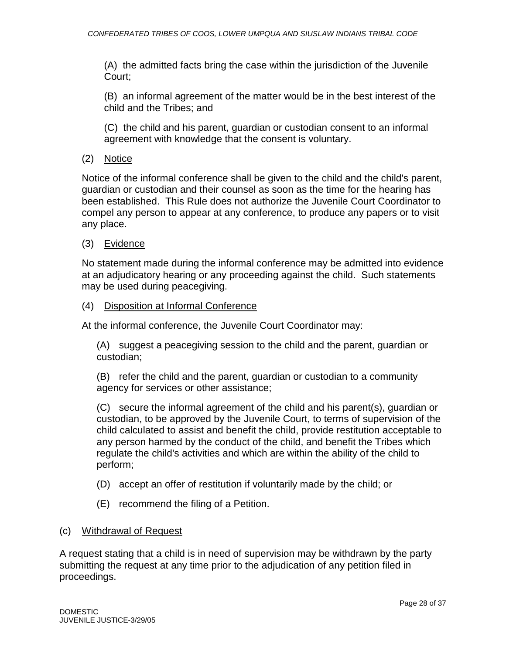(A) the admitted facts bring the case within the jurisdiction of the Juvenile Court;

(B) an informal agreement of the matter would be in the best interest of the child and the Tribes; and

(C) the child and his parent, guardian or custodian consent to an informal agreement with knowledge that the consent is voluntary.

(2) Notice

Notice of the informal conference shall be given to the child and the child's parent, guardian or custodian and their counsel as soon as the time for the hearing has been established. This Rule does not authorize the Juvenile Court Coordinator to compel any person to appear at any conference, to produce any papers or to visit any place.

# (3) Evidence

No statement made during the informal conference may be admitted into evidence at an adjudicatory hearing or any proceeding against the child. Such statements may be used during peacegiving.

# (4) Disposition at Informal Conference

At the informal conference, the Juvenile Court Coordinator may:

(A) suggest a peacegiving session to the child and the parent, guardian or custodian;

(B) refer the child and the parent, guardian or custodian to a community agency for services or other assistance;

(C) secure the informal agreement of the child and his parent(s), guardian or custodian, to be approved by the Juvenile Court, to terms of supervision of the child calculated to assist and benefit the child, provide restitution acceptable to any person harmed by the conduct of the child, and benefit the Tribes which regulate the child's activities and which are within the ability of the child to perform;

- (D) accept an offer of restitution if voluntarily made by the child; or
- (E) recommend the filing of a Petition.

# (c) Withdrawal of Request

A request stating that a child is in need of supervision may be withdrawn by the party submitting the request at any time prior to the adjudication of any petition filed in proceedings.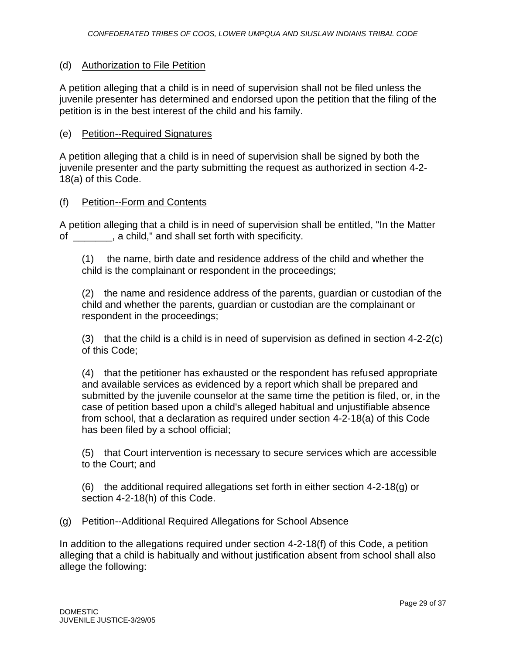### (d) Authorization to File Petition

A petition alleging that a child is in need of supervision shall not be filed unless the juvenile presenter has determined and endorsed upon the petition that the filing of the petition is in the best interest of the child and his family.

### (e) Petition--Required Signatures

A petition alleging that a child is in need of supervision shall be signed by both the juvenile presenter and the party submitting the request as authorized in section 4-2- 18(a) of this Code.

#### (f) Petition--Form and Contents

A petition alleging that a child is in need of supervision shall be entitled, "In the Matter of \_\_\_\_\_\_\_, a child," and shall set forth with specificity.

(1) the name, birth date and residence address of the child and whether the child is the complainant or respondent in the proceedings;

(2) the name and residence address of the parents, guardian or custodian of the child and whether the parents, guardian or custodian are the complainant or respondent in the proceedings;

(3) that the child is a child is in need of supervision as defined in section 4-2-2(c) of this Code;

(4) that the petitioner has exhausted or the respondent has refused appropriate and available services as evidenced by a report which shall be prepared and submitted by the juvenile counselor at the same time the petition is filed, or, in the case of petition based upon a child's alleged habitual and unjustifiable absence from school, that a declaration as required under section 4-2-18(a) of this Code has been filed by a school official;

(5) that Court intervention is necessary to secure services which are accessible to the Court; and

(6) the additional required allegations set forth in either section 4-2-18(g) or section 4-2-18(h) of this Code.

#### (g) Petition--Additional Required Allegations for School Absence

In addition to the allegations required under section 4-2-18(f) of this Code, a petition alleging that a child is habitually and without justification absent from school shall also allege the following: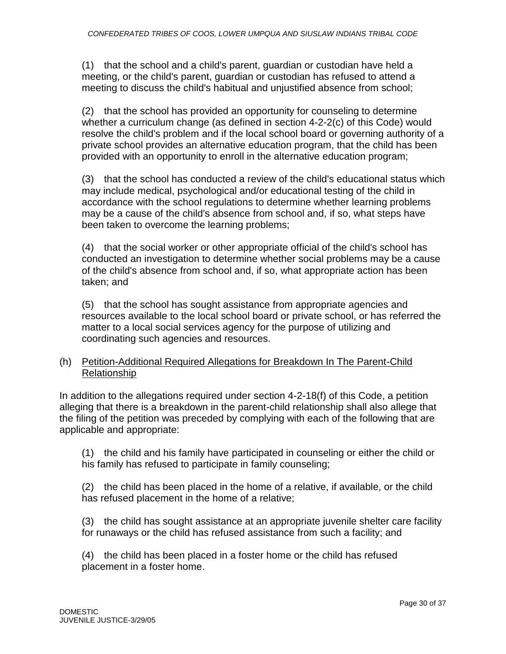(1) that the school and a child's parent, guardian or custodian have held a meeting, or the child's parent, guardian or custodian has refused to attend a meeting to discuss the child's habitual and unjustified absence from school;

(2) that the school has provided an opportunity for counseling to determine whether a curriculum change (as defined in section 4-2-2(c) of this Code) would resolve the child's problem and if the local school board or governing authority of a private school provides an alternative education program, that the child has been provided with an opportunity to enroll in the alternative education program;

(3) that the school has conducted a review of the child's educational status which may include medical, psychological and/or educational testing of the child in accordance with the school regulations to determine whether learning problems may be a cause of the child's absence from school and, if so, what steps have been taken to overcome the learning problems;

(4) that the social worker or other appropriate official of the child's school has conducted an investigation to determine whether social problems may be a cause of the child's absence from school and, if so, what appropriate action has been taken; and

(5) that the school has sought assistance from appropriate agencies and resources available to the local school board or private school, or has referred the matter to a local social services agency for the purpose of utilizing and coordinating such agencies and resources.

# (h) Petition-Additional Required Allegations for Breakdown In The Parent-Child Relationship

In addition to the allegations required under section 4-2-18(f) of this Code, a petition alleging that there is a breakdown in the parent-child relationship shall also allege that the filing of the petition was preceded by complying with each of the following that are applicable and appropriate:

(1) the child and his family have participated in counseling or either the child or his family has refused to participate in family counseling;

(2) the child has been placed in the home of a relative, if available, or the child has refused placement in the home of a relative;

(3) the child has sought assistance at an appropriate juvenile shelter care facility for runaways or the child has refused assistance from such a facility; and

(4) the child has been placed in a foster home or the child has refused placement in a foster home.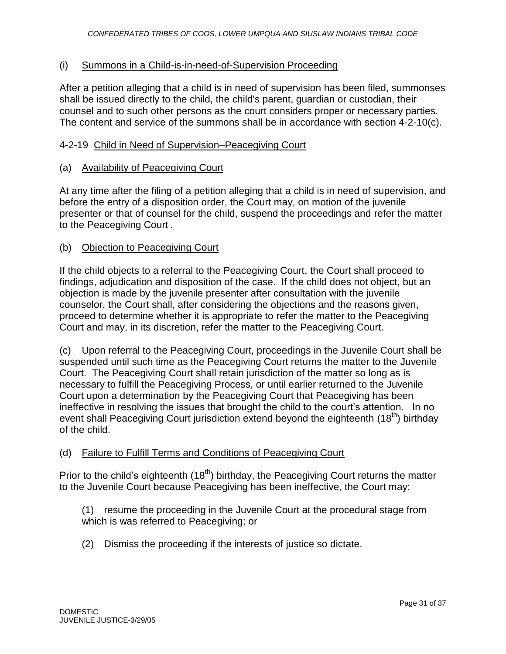# (i) Summons in a Child-is-in-need-of-Supervision Proceeding

After a petition alleging that a child is in need of supervision has been filed, summonses shall be issued directly to the child, the child's parent, guardian or custodian, their counsel and to such other persons as the court considers proper or necessary parties. The content and service of the summons shall be in accordance with section 4-2-10(c).

## 4-2-19 Child in Need of Supervision–Peacegiving Court

## (a) Availability of Peacegiving Court

At any time after the filing of a petition alleging that a child is in need of supervision, and before the entry of a disposition order, the Court may, on motion of the juvenile presenter or that of counsel for the child, suspend the proceedings and refer the matter to the Peacegiving Court .

## (b) Objection to Peacegiving Court

If the child objects to a referral to the Peacegiving Court, the Court shall proceed to findings, adjudication and disposition of the case. If the child does not object, but an objection is made by the juvenile presenter after consultation with the juvenile counselor, the Court shall, after considering the objections and the reasons given, proceed to determine whether it is appropriate to refer the matter to the Peacegiving Court and may, in its discretion, refer the matter to the Peacegiving Court.

(c) Upon referral to the Peacegiving Court, proceedings in the Juvenile Court shall be suspended until such time as the Peacegiving Court returns the matter to the Juvenile Court. The Peacegiving Court shall retain jurisdiction of the matter so long as is necessary to fulfill the Peacegiving Process, or until earlier returned to the Juvenile Court upon a determination by the Peacegiving Court that Peacegiving has been ineffective in resolving the issues that brought the child to the court's attention. In no event shall Peacegiving Court jurisdiction extend beyond the eighteenth (18<sup>th</sup>) birthday of the child.

# (d) Failure to Fulfill Terms and Conditions of Peacegiving Court

Prior to the child's eighteenth  $(18<sup>th</sup>)$  birthday, the Peacegiving Court returns the matter to the Juvenile Court because Peacegiving has been ineffective, the Court may:

(1) resume the proceeding in the Juvenile Court at the procedural stage from which is was referred to Peacegiving; or

(2) Dismiss the proceeding if the interests of justice so dictate.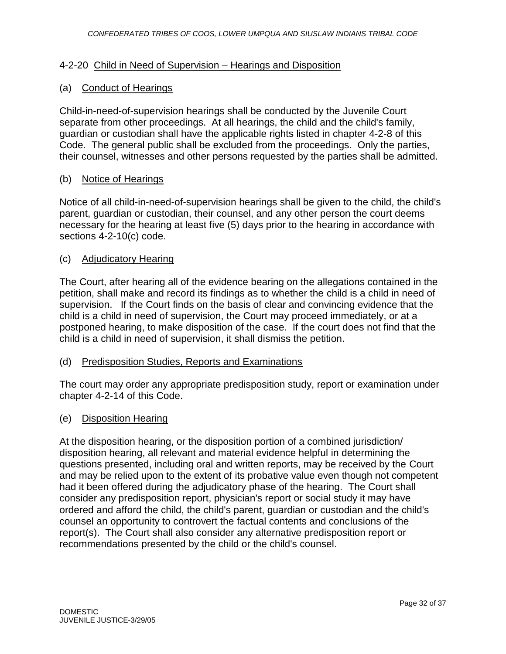#### 4-2-20 Child in Need of Supervision – Hearings and Disposition

### (a) Conduct of Hearings

Child-in-need-of-supervision hearings shall be conducted by the Juvenile Court separate from other proceedings. At all hearings, the child and the child's family, guardian or custodian shall have the applicable rights listed in chapter 4-2-8 of this Code. The general public shall be excluded from the proceedings. Only the parties, their counsel, witnesses and other persons requested by the parties shall be admitted.

#### (b) Notice of Hearings

Notice of all child-in-need-of-supervision hearings shall be given to the child, the child's parent, guardian or custodian, their counsel, and any other person the court deems necessary for the hearing at least five (5) days prior to the hearing in accordance with sections 4-2-10(c) code.

#### (c) Adjudicatory Hearing

The Court, after hearing all of the evidence bearing on the allegations contained in the petition, shall make and record its findings as to whether the child is a child in need of supervision. If the Court finds on the basis of clear and convincing evidence that the child is a child in need of supervision, the Court may proceed immediately, or at a postponed hearing, to make disposition of the case. If the court does not find that the child is a child in need of supervision, it shall dismiss the petition.

#### (d) Predisposition Studies, Reports and Examinations

The court may order any appropriate predisposition study, report or examination under chapter 4-2-14 of this Code.

#### (e) Disposition Hearing

At the disposition hearing, or the disposition portion of a combined jurisdiction/ disposition hearing, all relevant and material evidence helpful in determining the questions presented, including oral and written reports, may be received by the Court and may be relied upon to the extent of its probative value even though not competent had it been offered during the adjudicatory phase of the hearing. The Court shall consider any predisposition report, physician's report or social study it may have ordered and afford the child, the child's parent, guardian or custodian and the child's counsel an opportunity to controvert the factual contents and conclusions of the report(s). The Court shall also consider any alternative predisposition report or recommendations presented by the child or the child's counsel.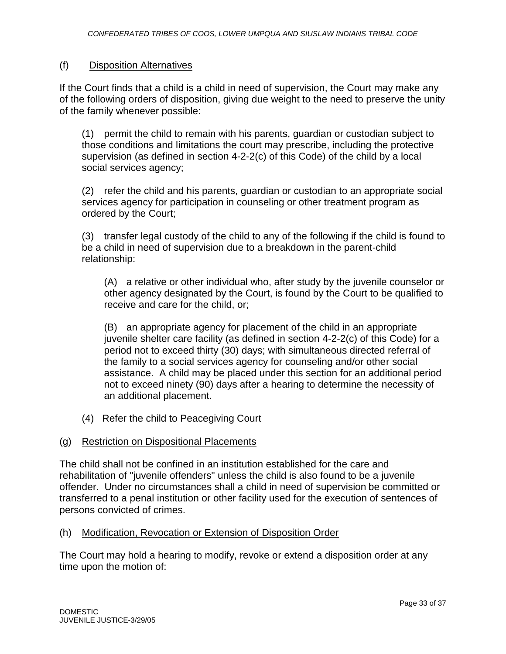## (f) Disposition Alternatives

If the Court finds that a child is a child in need of supervision, the Court may make any of the following orders of disposition, giving due weight to the need to preserve the unity of the family whenever possible:

(1) permit the child to remain with his parents, guardian or custodian subject to those conditions and limitations the court may prescribe, including the protective supervision (as defined in section 4-2-2(c) of this Code) of the child by a local social services agency;

(2) refer the child and his parents, guardian or custodian to an appropriate social services agency for participation in counseling or other treatment program as ordered by the Court;

(3) transfer legal custody of the child to any of the following if the child is found to be a child in need of supervision due to a breakdown in the parent-child relationship:

(A) a relative or other individual who, after study by the juvenile counselor or other agency designated by the Court, is found by the Court to be qualified to receive and care for the child, or;

(B) an appropriate agency for placement of the child in an appropriate juvenile shelter care facility (as defined in section 4-2-2(c) of this Code) for a period not to exceed thirty (30) days; with simultaneous directed referral of the family to a social services agency for counseling and/or other social assistance. A child may be placed under this section for an additional period not to exceed ninety (90) days after a hearing to determine the necessity of an additional placement.

(4) Refer the child to Peacegiving Court

# (g) Restriction on Dispositional Placements

The child shall not be confined in an institution established for the care and rehabilitation of "juvenile offenders" unless the child is also found to be a juvenile offender. Under no circumstances shall a child in need of supervision be committed or transferred to a penal institution or other facility used for the execution of sentences of persons convicted of crimes.

#### (h) Modification, Revocation or Extension of Disposition Order

The Court may hold a hearing to modify, revoke or extend a disposition order at any time upon the motion of: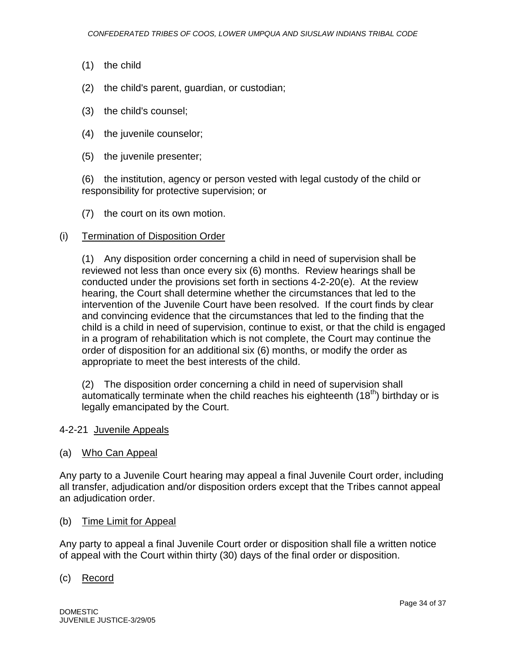- (1) the child
- (2) the child's parent, guardian, or custodian;
- (3) the child's counsel;
- (4) the juvenile counselor;
- (5) the juvenile presenter;

(6) the institution, agency or person vested with legal custody of the child or responsibility for protective supervision; or

(7) the court on its own motion.

#### (i) Termination of Disposition Order

(1) Any disposition order concerning a child in need of supervision shall be reviewed not less than once every six (6) months. Review hearings shall be conducted under the provisions set forth in sections 4-2-20(e). At the review hearing, the Court shall determine whether the circumstances that led to the intervention of the Juvenile Court have been resolved. If the court finds by clear and convincing evidence that the circumstances that led to the finding that the child is a child in need of supervision, continue to exist, or that the child is engaged in a program of rehabilitation which is not complete, the Court may continue the order of disposition for an additional six (6) months, or modify the order as appropriate to meet the best interests of the child.

(2) The disposition order concerning a child in need of supervision shall automatically terminate when the child reaches his eighteenth  $(18<sup>th</sup>)$  birthday or is legally emancipated by the Court.

#### 4-2-21 Juvenile Appeals

(a) Who Can Appeal

Any party to a Juvenile Court hearing may appeal a final Juvenile Court order, including all transfer, adjudication and/or disposition orders except that the Tribes cannot appeal an adjudication order.

(b) Time Limit for Appeal

Any party to appeal a final Juvenile Court order or disposition shall file a written notice of appeal with the Court within thirty (30) days of the final order or disposition.

#### (c) Record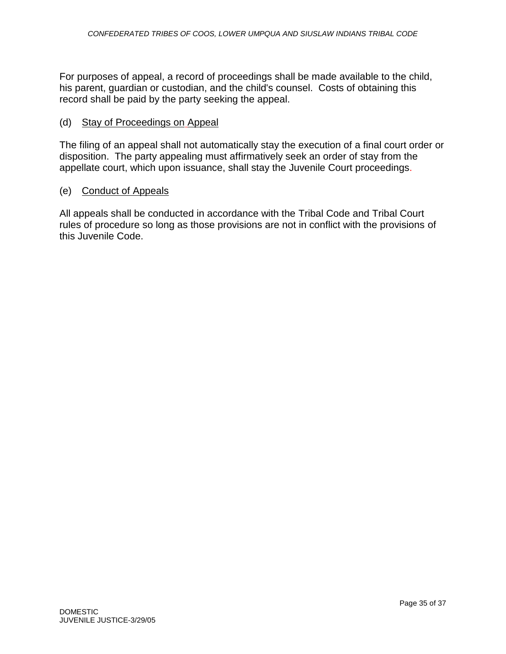For purposes of appeal, a record of proceedings shall be made available to the child, his parent, guardian or custodian, and the child's counsel. Costs of obtaining this record shall be paid by the party seeking the appeal.

### (d) Stay of Proceedings on Appeal

The filing of an appeal shall not automatically stay the execution of a final court order or disposition. The party appealing must affirmatively seek an order of stay from the appellate court, which upon issuance, shall stay the Juvenile Court proceedings.

#### (e) Conduct of Appeals

All appeals shall be conducted in accordance with the Tribal Code and Tribal Court rules of procedure so long as those provisions are not in conflict with the provisions of this Juvenile Code.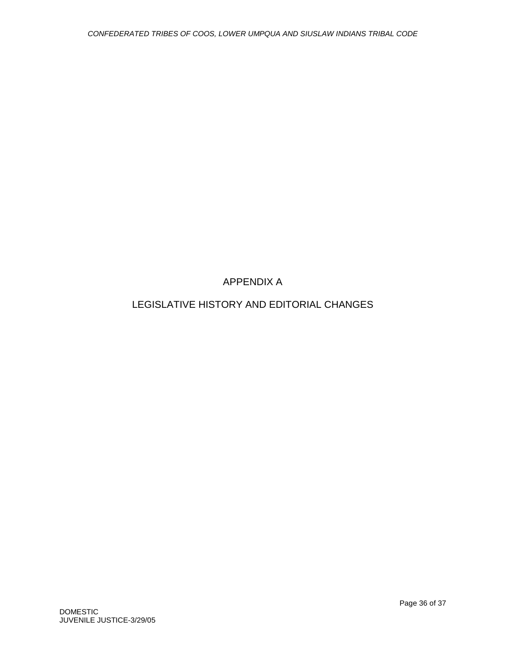# APPENDIX A

# LEGISLATIVE HISTORY AND EDITORIAL CHANGES